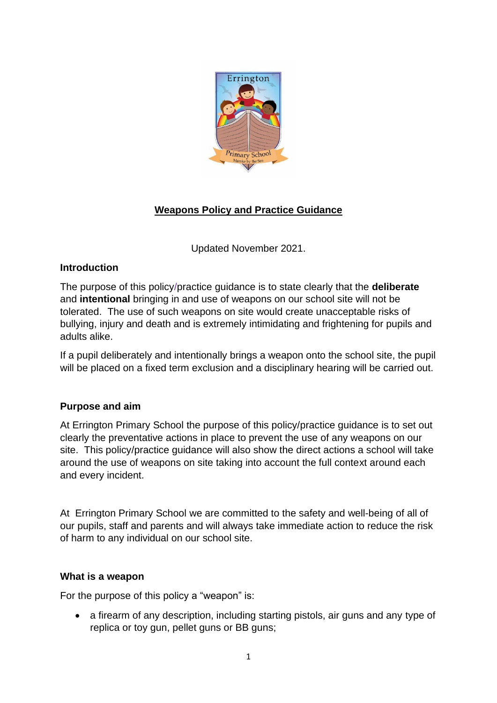

# **Weapons Policy and Practice Guidance**

Updated November 2021.

# **Introduction**

The purpose of this policy/practice guidance is to state clearly that the **deliberate** and **intentional** bringing in and use of weapons on our school site will not be tolerated. The use of such weapons on site would create unacceptable risks of bullying, injury and death and is extremely intimidating and frightening for pupils and adults alike.

If a pupil deliberately and intentionally brings a weapon onto the school site, the pupil will be placed on a fixed term exclusion and a disciplinary hearing will be carried out.

# **Purpose and aim**

At Errington Primary School the purpose of this policy/practice guidance is to set out clearly the preventative actions in place to prevent the use of any weapons on our site. This policy/practice guidance will also show the direct actions a school will take around the use of weapons on site taking into account the full context around each and every incident.

At Errington Primary School we are committed to the safety and well-being of all of our pupils, staff and parents and will always take immediate action to reduce the risk of harm to any individual on our school site.

# **What is a weapon**

For the purpose of this policy a "weapon" is:

• a firearm of any description, including starting pistols, air guns and any type of replica or toy gun, pellet guns or BB guns;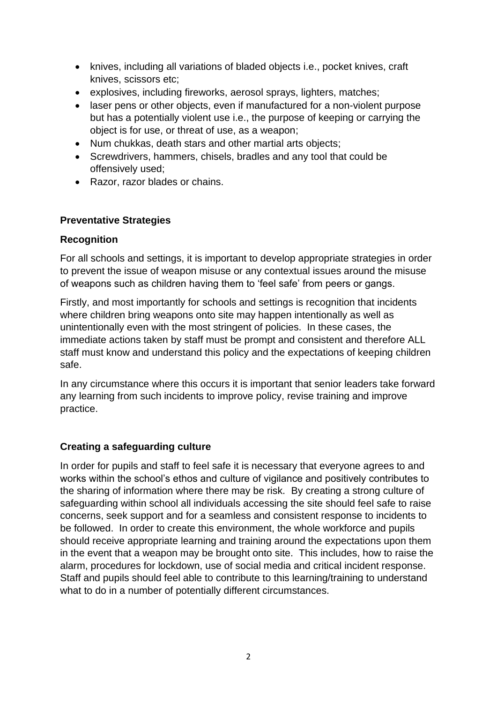- knives, including all variations of bladed objects i.e., pocket knives, craft knives, scissors etc;
- explosives, including fireworks, aerosol sprays, lighters, matches;
- laser pens or other objects, even if manufactured for a non-violent purpose but has a potentially violent use i.e., the purpose of keeping or carrying the object is for use, or threat of use, as a weapon;
- Num chukkas, death stars and other martial arts objects;
- Screwdrivers, hammers, chisels, bradles and any tool that could be offensively used;
- Razor, razor blades or chains.

### **Preventative Strategies**

### **Recognition**

For all schools and settings, it is important to develop appropriate strategies in order to prevent the issue of weapon misuse or any contextual issues around the misuse of weapons such as children having them to 'feel safe' from peers or gangs.

Firstly, and most importantly for schools and settings is recognition that incidents where children bring weapons onto site may happen intentionally as well as unintentionally even with the most stringent of policies. In these cases, the immediate actions taken by staff must be prompt and consistent and therefore ALL staff must know and understand this policy and the expectations of keeping children safe.

In any circumstance where this occurs it is important that senior leaders take forward any learning from such incidents to improve policy, revise training and improve practice.

# **Creating a safeguarding culture**

In order for pupils and staff to feel safe it is necessary that everyone agrees to and works within the school's ethos and culture of vigilance and positively contributes to the sharing of information where there may be risk. By creating a strong culture of safeguarding within school all individuals accessing the site should feel safe to raise concerns, seek support and for a seamless and consistent response to incidents to be followed. In order to create this environment, the whole workforce and pupils should receive appropriate learning and training around the expectations upon them in the event that a weapon may be brought onto site. This includes, how to raise the alarm, procedures for lockdown, use of social media and critical incident response. Staff and pupils should feel able to contribute to this learning/training to understand what to do in a number of potentially different circumstances.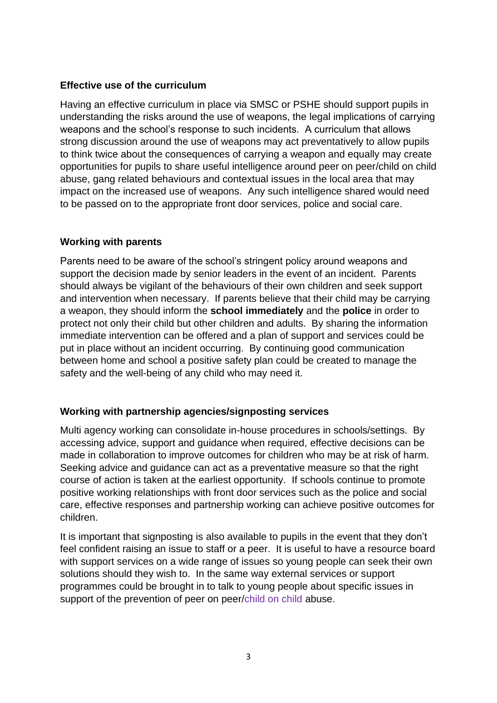### **Effective use of the curriculum**

Having an effective curriculum in place via SMSC or PSHE should support pupils in understanding the risks around the use of weapons, the legal implications of carrying weapons and the school's response to such incidents. A curriculum that allows strong discussion around the use of weapons may act preventatively to allow pupils to think twice about the consequences of carrying a weapon and equally may create opportunities for pupils to share useful intelligence around peer on peer/child on child abuse, gang related behaviours and contextual issues in the local area that may impact on the increased use of weapons. Any such intelligence shared would need to be passed on to the appropriate front door services, police and social care.

### **Working with parents**

Parents need to be aware of the school's stringent policy around weapons and support the decision made by senior leaders in the event of an incident. Parents should always be vigilant of the behaviours of their own children and seek support and intervention when necessary. If parents believe that their child may be carrying a weapon, they should inform the **school immediately** and the **police** in order to protect not only their child but other children and adults. By sharing the information immediate intervention can be offered and a plan of support and services could be put in place without an incident occurring. By continuing good communication between home and school a positive safety plan could be created to manage the safety and the well-being of any child who may need it.

# **Working with partnership agencies/signposting services**

Multi agency working can consolidate in-house procedures in schools/settings. By accessing advice, support and guidance when required, effective decisions can be made in collaboration to improve outcomes for children who may be at risk of harm. Seeking advice and guidance can act as a preventative measure so that the right course of action is taken at the earliest opportunity. If schools continue to promote positive working relationships with front door services such as the police and social care, effective responses and partnership working can achieve positive outcomes for children.

It is important that signposting is also available to pupils in the event that they don't feel confident raising an issue to staff or a peer. It is useful to have a resource board with support services on a wide range of issues so young people can seek their own solutions should they wish to. In the same way external services or support programmes could be brought in to talk to young people about specific issues in support of the prevention of peer on peer/child on child abuse.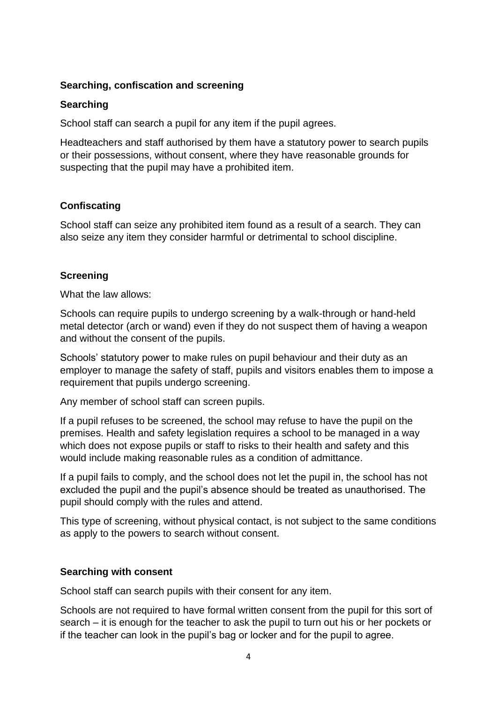### **Searching, confiscation and screening**

#### **Searching**

School staff can search a pupil for any item if the pupil agrees.

Headteachers and staff authorised by them have a statutory power to search pupils or their possessions, without consent, where they have reasonable grounds for suspecting that the pupil may have a prohibited item.

# **Confiscating**

School staff can seize any prohibited item found as a result of a search. They can also seize any item they consider harmful or detrimental to school discipline.

### **Screening**

What the law allows:

Schools can require pupils to undergo screening by a walk-through or hand-held metal detector (arch or wand) even if they do not suspect them of having a weapon and without the consent of the pupils.

Schools' statutory power to make rules on pupil behaviour and their duty as an employer to manage the safety of staff, pupils and visitors enables them to impose a requirement that pupils undergo screening.

Any member of school staff can screen pupils.

If a pupil refuses to be screened, the school may refuse to have the pupil on the premises. Health and safety legislation requires a school to be managed in a way which does not expose pupils or staff to risks to their health and safety and this would include making reasonable rules as a condition of admittance.

If a pupil fails to comply, and the school does not let the pupil in, the school has not excluded the pupil and the pupil's absence should be treated as unauthorised. The pupil should comply with the rules and attend.

This type of screening, without physical contact, is not subject to the same conditions as apply to the powers to search without consent.

#### **Searching with consent**

School staff can search pupils with their consent for any item.

Schools are not required to have formal written consent from the pupil for this sort of search – it is enough for the teacher to ask the pupil to turn out his or her pockets or if the teacher can look in the pupil's bag or locker and for the pupil to agree.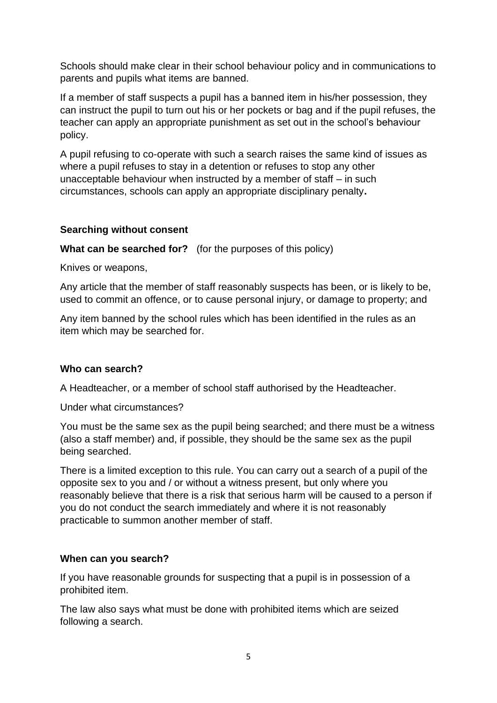Schools should make clear in their school behaviour policy and in communications to parents and pupils what items are banned.

If a member of staff suspects a pupil has a banned item in his/her possession, they can instruct the pupil to turn out his or her pockets or bag and if the pupil refuses, the teacher can apply an appropriate punishment as set out in the school's behaviour policy.

A pupil refusing to co-operate with such a search raises the same kind of issues as where a pupil refuses to stay in a detention or refuses to stop any other unacceptable behaviour when instructed by a member of staff – in such circumstances, schools can apply an appropriate disciplinary penalty**.**

### **Searching without consent**

**What can be searched for?** (for the purposes of this policy)

Knives or weapons,

Any article that the member of staff reasonably suspects has been, or is likely to be, used to commit an offence, or to cause personal injury, or damage to property; and

Any item banned by the school rules which has been identified in the rules as an item which may be searched for.

# **Who can search?**

A Headteacher, or a member of school staff authorised by the Headteacher.

Under what circumstances?

You must be the same sex as the pupil being searched; and there must be a witness (also a staff member) and, if possible, they should be the same sex as the pupil being searched.

There is a limited exception to this rule. You can carry out a search of a pupil of the opposite sex to you and / or without a witness present, but only where you reasonably believe that there is a risk that serious harm will be caused to a person if you do not conduct the search immediately and where it is not reasonably practicable to summon another member of staff.

#### **When can you search?**

If you have reasonable grounds for suspecting that a pupil is in possession of a prohibited item.

The law also says what must be done with prohibited items which are seized following a search.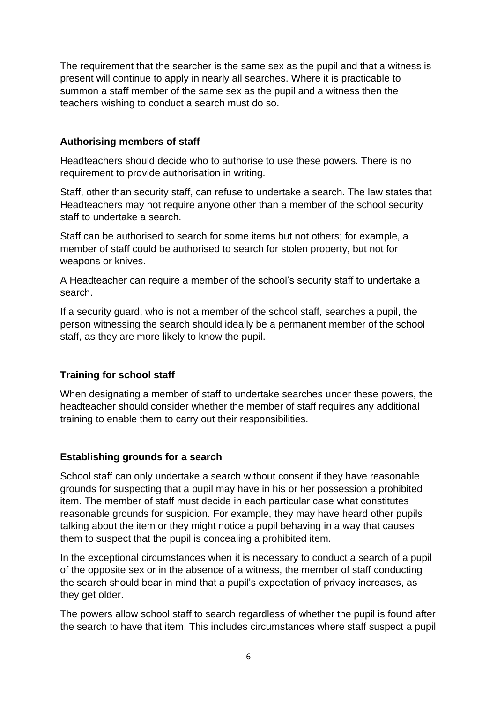The requirement that the searcher is the same sex as the pupil and that a witness is present will continue to apply in nearly all searches. Where it is practicable to summon a staff member of the same sex as the pupil and a witness then the teachers wishing to conduct a search must do so.

# **Authorising members of staff**

Headteachers should decide who to authorise to use these powers. There is no requirement to provide authorisation in writing.

Staff, other than security staff, can refuse to undertake a search. The law states that Headteachers may not require anyone other than a member of the school security staff to undertake a search.

Staff can be authorised to search for some items but not others; for example, a member of staff could be authorised to search for stolen property, but not for weapons or knives.

A Headteacher can require a member of the school's security staff to undertake a search.

If a security guard, who is not a member of the school staff, searches a pupil, the person witnessing the search should ideally be a permanent member of the school staff, as they are more likely to know the pupil.

# **Training for school staff**

When designating a member of staff to undertake searches under these powers, the headteacher should consider whether the member of staff requires any additional training to enable them to carry out their responsibilities.

# **Establishing grounds for a search**

School staff can only undertake a search without consent if they have reasonable grounds for suspecting that a pupil may have in his or her possession a prohibited item. The member of staff must decide in each particular case what constitutes reasonable grounds for suspicion. For example, they may have heard other pupils talking about the item or they might notice a pupil behaving in a way that causes them to suspect that the pupil is concealing a prohibited item.

In the exceptional circumstances when it is necessary to conduct a search of a pupil of the opposite sex or in the absence of a witness, the member of staff conducting the search should bear in mind that a pupil's expectation of privacy increases, as they get older.

The powers allow school staff to search regardless of whether the pupil is found after the search to have that item. This includes circumstances where staff suspect a pupil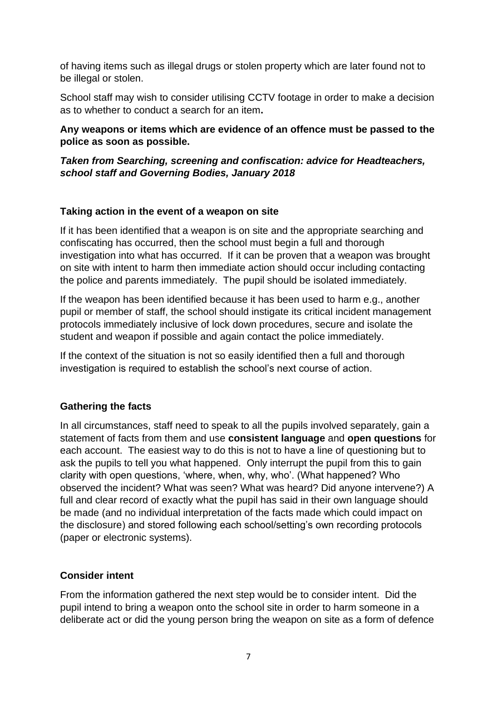of having items such as illegal drugs or stolen property which are later found not to be illegal or stolen.

School staff may wish to consider utilising CCTV footage in order to make a decision as to whether to conduct a search for an item**.** 

# **Any weapons or items which are evidence of an offence must be passed to the police as soon as possible.**

# *Taken from Searching, screening and confiscation: advice for Headteachers, school staff and Governing Bodies, January 2018*

# **Taking action in the event of a weapon on site**

If it has been identified that a weapon is on site and the appropriate searching and confiscating has occurred, then the school must begin a full and thorough investigation into what has occurred. If it can be proven that a weapon was brought on site with intent to harm then immediate action should occur including contacting the police and parents immediately. The pupil should be isolated immediately.

If the weapon has been identified because it has been used to harm e.g., another pupil or member of staff, the school should instigate its critical incident management protocols immediately inclusive of lock down procedures, secure and isolate the student and weapon if possible and again contact the police immediately.

If the context of the situation is not so easily identified then a full and thorough investigation is required to establish the school's next course of action.

# **Gathering the facts**

In all circumstances, staff need to speak to all the pupils involved separately, gain a statement of facts from them and use **consistent language** and **open questions** for each account. The easiest way to do this is not to have a line of questioning but to ask the pupils to tell you what happened. Only interrupt the pupil from this to gain clarity with open questions, 'where, when, why, who'. (What happened? Who observed the incident? What was seen? What was heard? Did anyone intervene?) A full and clear record of exactly what the pupil has said in their own language should be made (and no individual interpretation of the facts made which could impact on the disclosure) and stored following each school/setting's own recording protocols (paper or electronic systems).

# **Consider intent**

From the information gathered the next step would be to consider intent. Did the pupil intend to bring a weapon onto the school site in order to harm someone in a deliberate act or did the young person bring the weapon on site as a form of defence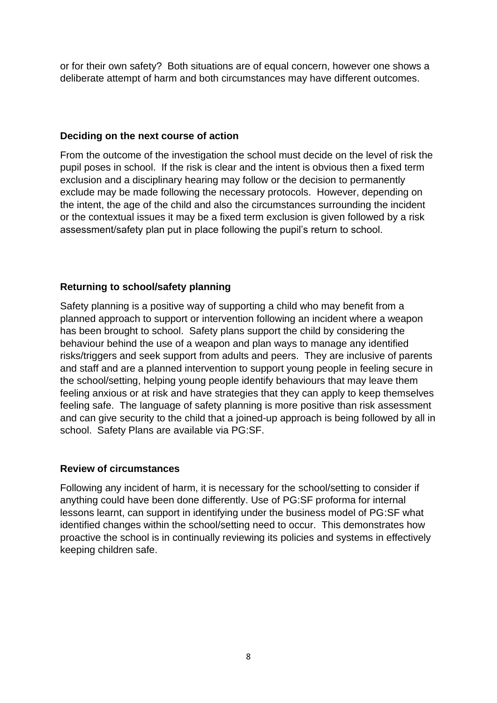or for their own safety? Both situations are of equal concern, however one shows a deliberate attempt of harm and both circumstances may have different outcomes.

#### **Deciding on the next course of action**

From the outcome of the investigation the school must decide on the level of risk the pupil poses in school. If the risk is clear and the intent is obvious then a fixed term exclusion and a disciplinary hearing may follow or the decision to permanently exclude may be made following the necessary protocols. However, depending on the intent, the age of the child and also the circumstances surrounding the incident or the contextual issues it may be a fixed term exclusion is given followed by a risk assessment/safety plan put in place following the pupil's return to school.

# **Returning to school/safety planning**

Safety planning is a positive way of supporting a child who may benefit from a planned approach to support or intervention following an incident where a weapon has been brought to school. Safety plans support the child by considering the behaviour behind the use of a weapon and plan ways to manage any identified risks/triggers and seek support from adults and peers. They are inclusive of parents and staff and are a planned intervention to support young people in feeling secure in the school/setting, helping young people identify behaviours that may leave them feeling anxious or at risk and have strategies that they can apply to keep themselves feeling safe. The language of safety planning is more positive than risk assessment and can give security to the child that a joined-up approach is being followed by all in school. Safety Plans are available via PG:SF.

# **Review of circumstances**

Following any incident of harm, it is necessary for the school/setting to consider if anything could have been done differently. Use of PG:SF proforma for internal lessons learnt, can support in identifying under the business model of PG:SF what identified changes within the school/setting need to occur. This demonstrates how proactive the school is in continually reviewing its policies and systems in effectively keeping children safe.